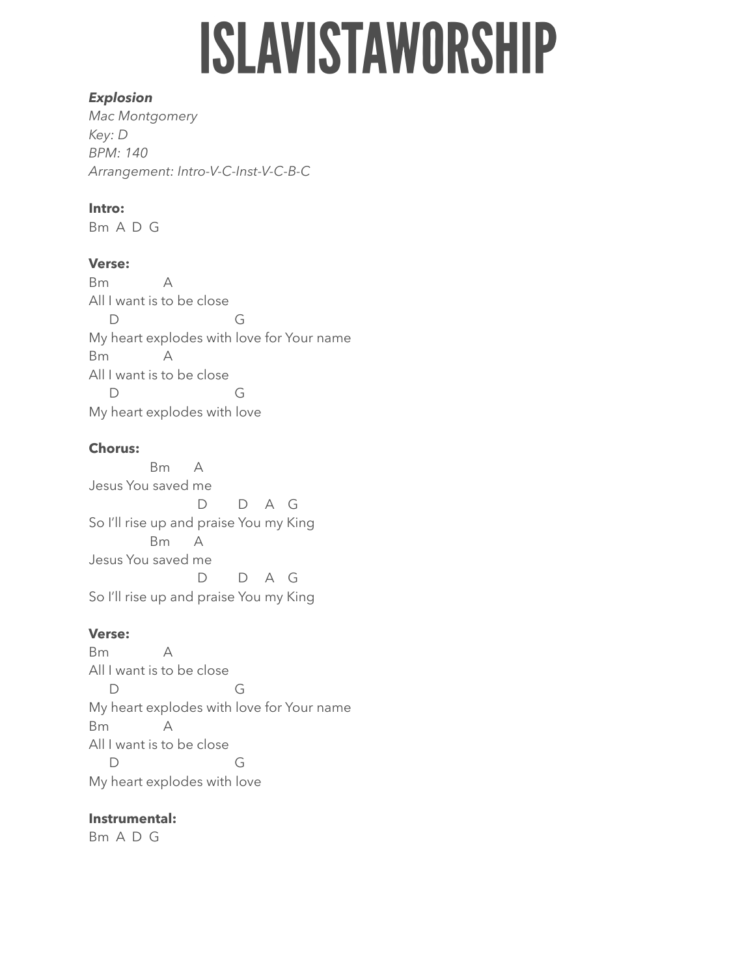# **ISLAVISTAWORSHIP**

#### *Explosion*

*Mac Montgomery Key: D BPM: 140 Arrangement: Intro-V-C-Inst-V-C-B-C* 

## **Intro:**

Bm A D G

## **Verse:**

Bm A All I want is to be close D G My heart explodes with love for Your name Bm A All I want is to be close D G My heart explodes with love

## **Chorus:**

 Bm A Jesus You saved me D D A G So I'll rise up and praise You my King Bm A Jesus You saved me D D A G So I'll rise up and praise You my King

## **Verse:**

Bm A All I want is to be close D G My heart explodes with love for Your name Bm A All I want is to be close D G My heart explodes with love

## **Instrumental:**

Bm A D G